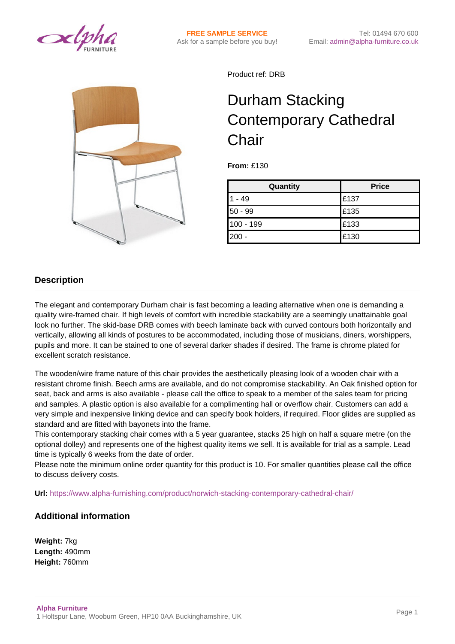



Product ref: DRB

## Durham Stacking Contemporary Cathedral **Chair**

**From:** £130

| Quantity  | <b>Price</b> |
|-----------|--------------|
| - 49      | £137         |
| $50 - 99$ | £135         |
| 100 - 199 | E133         |
| $200 -$   | £130         |

## **Description**

The elegant and contemporary Durham chair is fast becoming a leading alternative when one is demanding a quality wire-framed chair. If high levels of comfort with incredible stackability are a seemingly unattainable goal look no further. The skid-base DRB comes with beech laminate back with curved contours both horizontally and vertically, allowing all kinds of postures to be accommodated, including those of musicians, diners, worshippers, pupils and more. It can be stained to one of several darker shades if desired. The frame is chrome plated for excellent scratch resistance.

The wooden/wire frame nature of this chair provides the aesthetically pleasing look of a wooden chair with a resistant chrome finish. Beech arms are available, and do not compromise stackability. An Oak finished option for seat, back and arms is also available - please call the office to speak to a member of the sales team for pricing and samples. A plastic option is also available for a complimenting hall or overflow chair. Customers can add a very simple and inexpensive linking device and can specify book holders, if required. Floor glides are supplied as standard and are fitted with bayonets into the frame.

This contemporary stacking chair comes with a 5 year guarantee, stacks 25 high on half a square metre (on the optional dolley) and represents one of the highest quality items we sell. It is available for trial as a sample. Lead time is typically 6 weeks from the date of order.

Please note the minimum online order quantity for this product is 10. For smaller quantities please call the office to discuss delivery costs.

**Url:** <https://www.alpha-furnishing.com/product/norwich-stacking-contemporary-cathedral-chair/>

## **Additional information**

**Weight:** 7kg **Length:** 490mm **Height:** 760mm